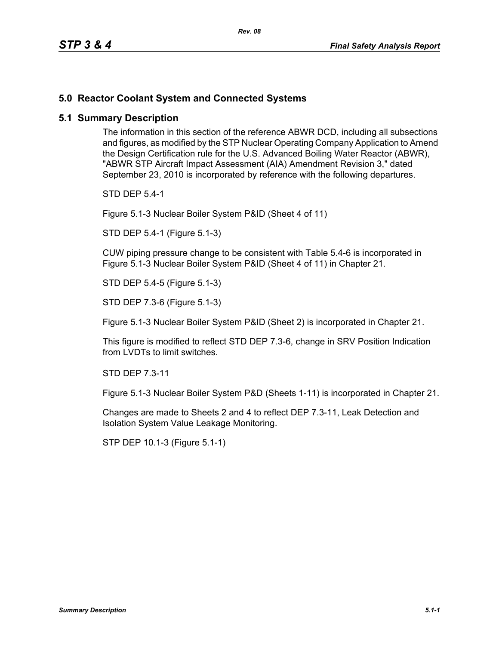## **5.0 Reactor Coolant System and Connected Systems**

## **5.1 Summary Description**

The information in this section of the reference ABWR DCD, including all subsections and figures, as modified by the STP Nuclear Operating Company Application to Amend the Design Certification rule for the U.S. Advanced Boiling Water Reactor (ABWR), "ABWR STP Aircraft Impact Assessment (AIA) Amendment Revision 3," dated September 23, 2010 is incorporated by reference with the following departures.

STD DEP 5.4-1

Figure 5.1-3 Nuclear Boiler System P&ID (Sheet 4 of 11)

STD DEP 5.4-1 (Figure 5.1-3)

CUW piping pressure change to be consistent with Table 5.4-6 is incorporated in Figure 5.1-3 Nuclear Boiler System P&ID (Sheet 4 of 11) in Chapter 21.

STD DEP 5.4-5 (Figure 5.1-3)

STD DEP 7.3-6 (Figure 5.1-3)

Figure 5.1-3 Nuclear Boiler System P&ID (Sheet 2) is incorporated in Chapter 21.

This figure is modified to reflect STD DEP 7.3-6, change in SRV Position Indication from LVDTs to limit switches.

STD DEP 7.3-11

Figure 5.1-3 Nuclear Boiler System P&D (Sheets 1-11) is incorporated in Chapter 21.

Changes are made to Sheets 2 and 4 to reflect DEP 7.3-11, Leak Detection and Isolation System Value Leakage Monitoring.

STP DEP 10.1-3 (Figure 5.1-1)